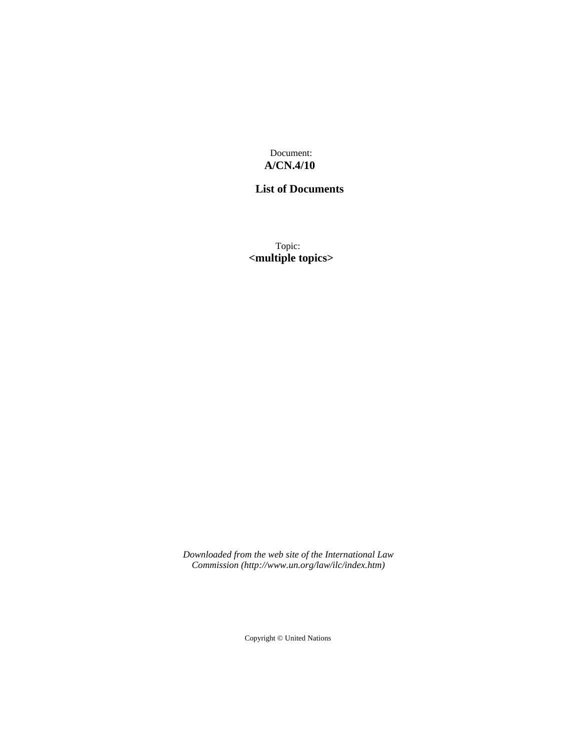Document: **A/CN.4/10**

## **List of Documents**

Topic: **<multiple topics>**

*Downloaded from the web site of the International Law Commission (http://www.un.org/law/ilc/index.htm)*

Copyright © United Nations